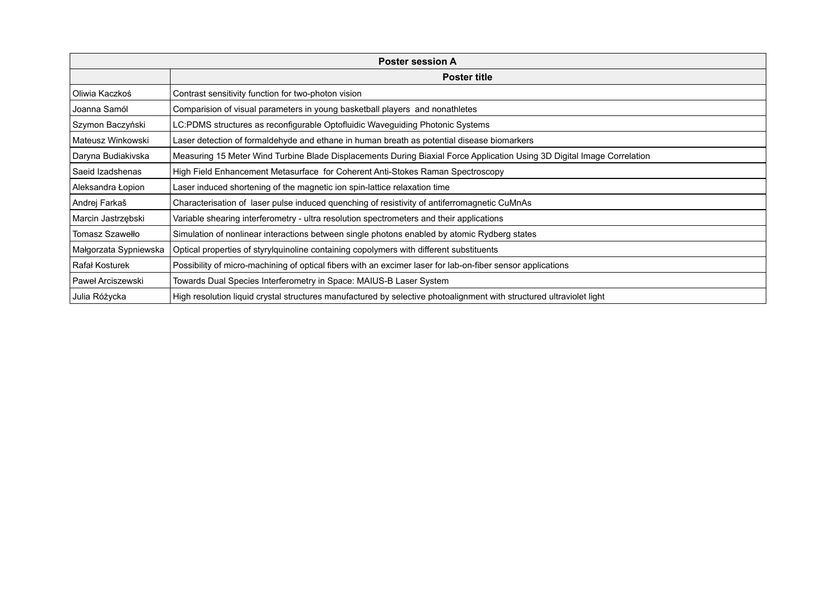| <b>Poster session A</b> |                                                                                                                         |  |
|-------------------------|-------------------------------------------------------------------------------------------------------------------------|--|
|                         | <b>Poster title</b>                                                                                                     |  |
| Oliwia Kaczkoś          | Contrast sensitivity function for two-photon vision                                                                     |  |
| Joanna Samól            | Comparision of visual parameters in young basketball players and nonathletes                                            |  |
| Szymon Baczyński        | LC:PDMS structures as reconfigurable Optofluidic Waveguiding Photonic Systems                                           |  |
| Mateusz Winkowski       | Laser detection of formaldehyde and ethane in human breath as potential disease biomarkers                              |  |
| Daryna Budiakivska      | Measuring 15 Meter Wind Turbine Blade Displacements During Biaxial Force Application Using 3D Digital Image Correlation |  |
| Saeid Izadshenas        | High Field Enhancement Metasurface for Coherent Anti-Stokes Raman Spectroscopy                                          |  |
| Aleksandra Łopion       | Laser induced shortening of the magnetic ion spin-lattice relaxation time                                               |  |
| Andrej Farkaš           | Characterisation of laser pulse induced quenching of resistivity of antiferromagnetic CuMnAs                            |  |
| Marcin Jastrzębski      | Variable shearing interferometry - ultra resolution spectrometers and their applications                                |  |
| Tomasz Szawełło         | Simulation of nonlinear interactions between single photons enabled by atomic Rydberg states                            |  |
| Małgorzata Sypniewska   | Optical properties of styrylquinoline containing copolymers with different substituents                                 |  |
| Rafał Kosturek          | Possibility of micro-machining of optical fibers with an excimer laser for lab-on-fiber sensor applications             |  |
| Paweł Arciszewski       | Towards Dual Species Interferometry in Space: MAIUS-B Laser System                                                      |  |
| Julia Różycka           | High resolution liquid crystal structures manufactured by selective photoalignment with structured ultraviolet light    |  |